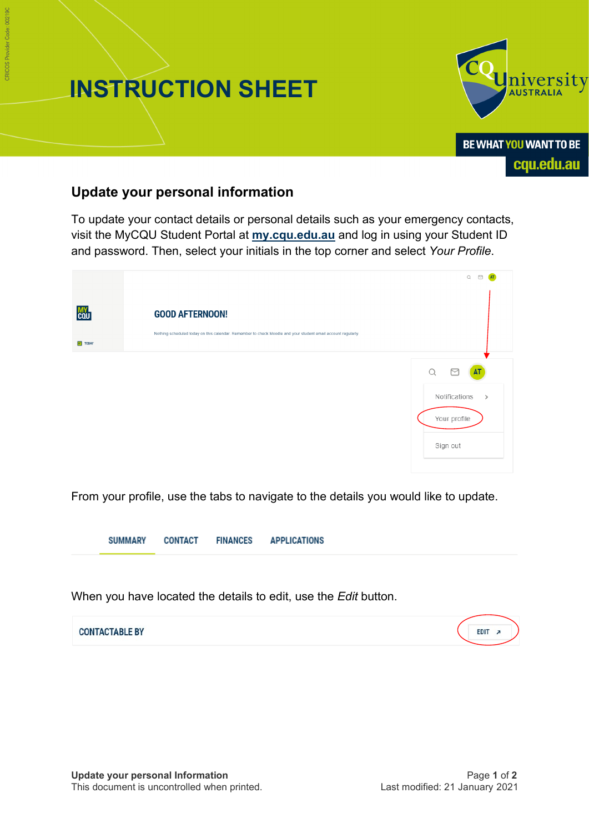



cqu.edu.au

## **Update your personal information**

To update your contact details or personal details such as your emergency contacts, visit the MyCQU Student Portal at **[my.cqu.edu.au](http://my.cqu.edu.au/)** and log in using your Student ID and password. Then, select your initials in the top corner and select *Your Profile*.

|                                       |                                                                                                                                        | $\hbox{\ensuremath{\mathsf{Q}}}$<br>$\triangleright$ |
|---------------------------------------|----------------------------------------------------------------------------------------------------------------------------------------|------------------------------------------------------|
| <b>MY</b><br>COU<br>$\boxed{=}$ TODAY | <b>GOOD AFTERNOON!</b><br>Nothing scheduled today on this calendar. Remember to check Moodle and your student email account regularly. |                                                      |
|                                       |                                                                                                                                        | AT<br>Notifications                                  |
|                                       |                                                                                                                                        | $\rightarrow$<br>Your profile                        |
|                                       |                                                                                                                                        | Sign out                                             |

From your profile, use the tabs to navigate to the details you would like to update.

**FINANCES SUMMARY CONTACT APPLICATIONS** 

When you have located the details to edit, use the *Edit* button.

| <b>CONTACTABLE BY</b> | <b>EDIT</b> |
|-----------------------|-------------|
|                       |             |